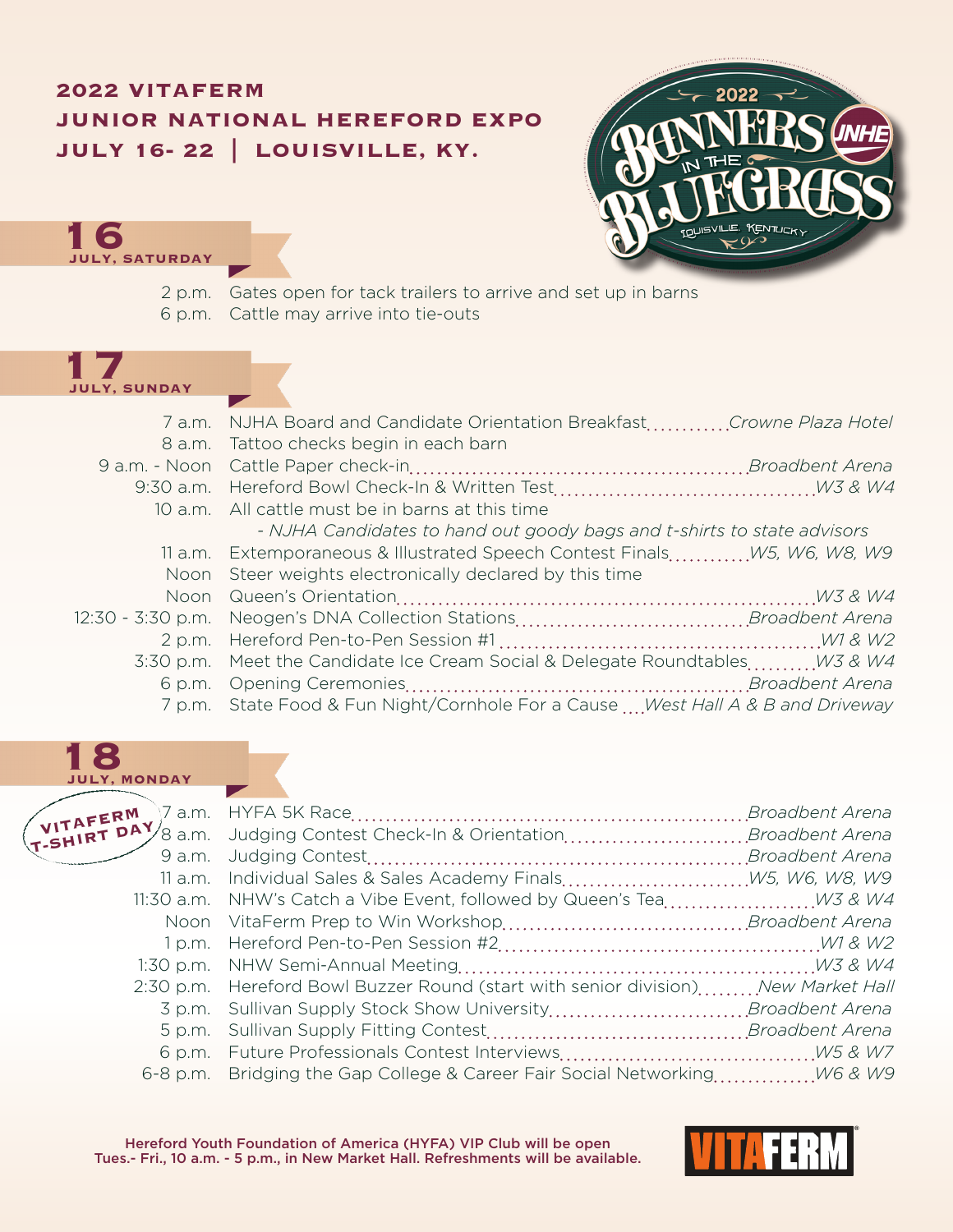## **2022 VITAFERM JUNIOR NATIONAL HEREFORD EXPO JULY 16- 22 | LOUISVILLE, KY.**



**16 JULY, SATURDAY**

2 p.m. Gates open for tack trailers to arrive and set up in barns 6 p.m. Cattle may arrive into tie-outs

## **17 JULY, SUNDAY**

| 7 a.m. NJHA Board and Candidate Orientation BreakfastCrowne Plaza Hotel          |  |
|----------------------------------------------------------------------------------|--|
| 8 a.m. Tattoo checks begin in each barn                                          |  |
|                                                                                  |  |
|                                                                                  |  |
| 10 a.m. All cattle must be in barns at this time                                 |  |
| - NJHA Candidates to hand out goody bags and t-shirts to state advisors          |  |
| 11 a.m. Extemporaneous & Illustrated Speech Contest Finals W5, W6, W8, W9        |  |
| Noon Steer weights electronically declared by this time                          |  |
|                                                                                  |  |
|                                                                                  |  |
|                                                                                  |  |
| 3:30 p.m. Meet the Candidate Ice Cream Social & Delegate Roundtables W3 & W4     |  |
|                                                                                  |  |
| 7 p.m. State Food & Fun Night/Cornhole For a Cause  West Hall A & B and Driveway |  |
|                                                                                  |  |

## **18 JULY, MONDAY**

| 9 a.m. |                                                                                   |  |
|--------|-----------------------------------------------------------------------------------|--|
|        | 11 a.m. Individual Sales & Sales Academy Finals W5, W6, W8, W9                    |  |
|        |                                                                                   |  |
| Noon   |                                                                                   |  |
|        |                                                                                   |  |
|        |                                                                                   |  |
|        | 2:30 p.m. Hereford Bowl Buzzer Round (start with senior division) New Market Hall |  |
| 3 p.m. |                                                                                   |  |
| 5 p.m. |                                                                                   |  |
|        |                                                                                   |  |
|        |                                                                                   |  |

Hereford Youth Foundation of America (HYFA) VIP Club will be open Tues.- Fri., 10 a.m. - 5 p.m., in New Market Hall. Refreshments will be available.